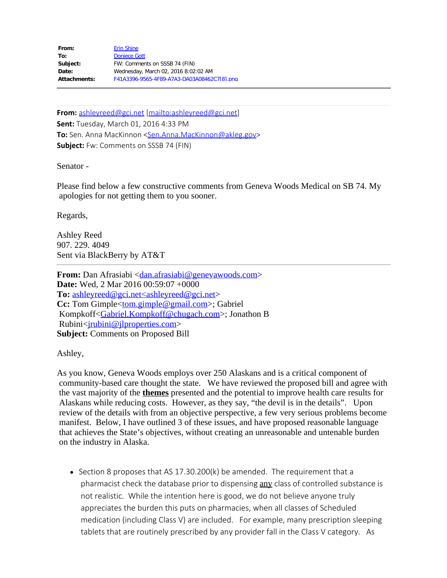From: [Erin Shine](mailto:/O=LEGISLATIVE AFFAIRS AGENCY/OU=EXCHANGE ADMINISTRATIVE GROUP (FYDIBOHF23SPDLT)/CN=RECIPIENTS/CN=ERIN SHINE812) To: **[Doniece Gott](mailto:Doniece.Gott@akleg.gov) Subject:** FW: Comments on SSSB 74 (FIN) **Date:** Wednesday, March 02, 2016 8:02:02 AM **Attachments:** F41A3396-9565-4F89-A7A3-DA03A08462C7[8].png

**From:** [ashleyreed@gci.net](mailto:ashleyreed@gci.net) [\[mailto:ashleyreed@gci.net](mailto:ashleyreed@gci.net)] **Sent:** Tuesday, March 01, 2016 4:33 PM **To:** Sen. Anna MacKinnon [<Sen.Anna.MacKinnon@akleg.gov](mailto:Sen.Anna.MacKinnon@akleg.gov)> **Subject:** Fw: Comments on SSSB 74 (FIN)

Senator -

Please find below a few constructive comments from Geneva Woods Medical on SB 74. My apologies for not getting them to you sooner.

Regards,

Ashley Reed 907. 229. 4049 Sent via BlackBerry by AT&T

**From:** Dan Afrasiabi [<dan.afrasiabi@genevawoods.com](mailto:dan.afrasiabi@genevawoods.com)> **Date:** Wed, 2 Mar 2016 00:59:07 +0000 To: [ashleyreed@gci.net<ashleyreed@gci.net](mailto:ashleyreed@gci.net%3cashleyreed@gci.net)> **Cc:** Tom Gimple[<tom.gimple@gmail.com](mailto:tom.gimple@gmail.com)>; Gabriel Kompkoff[<Gabriel.Kompkoff@chugach.com](mailto:Gabriel.Kompkoff@chugach.com)>; Jonathon B Rubini<*jrubini@jlproperties.com>* **Subject:** Comments on Proposed Bill

Ashley,

As you know, Geneva Woods employs over 250 Alaskans and is a critical component of community-based care thought the state. We have reviewed the proposed bill and agree with the vast majority of the **themes** presented and the potential to improve health care results for Alaskans while reducing costs. However, as they say, "the devil is in the details". Upon review of the details with from an objective perspective, a few very serious problems become manifest. Below, I have outlined 3 of these issues, and have proposed reasonable language that achieves the State's objectives, without creating an unreasonable and untenable burden on the industry in Alaska.

• Section 8 proposes that AS 17.30.200 $(k)$  be amended. The requirement that a pharmacist check the database prior to dispensing **any** class of controlled substance is not realistic. While the intention here is good, we do not believe anyone truly appreciates the burden this puts on pharmacies, when all classes of Scheduled medication (including Class V) are included. For example, many prescription sleeping tablets that are routinely prescribed by any provider fall in the Class V category. As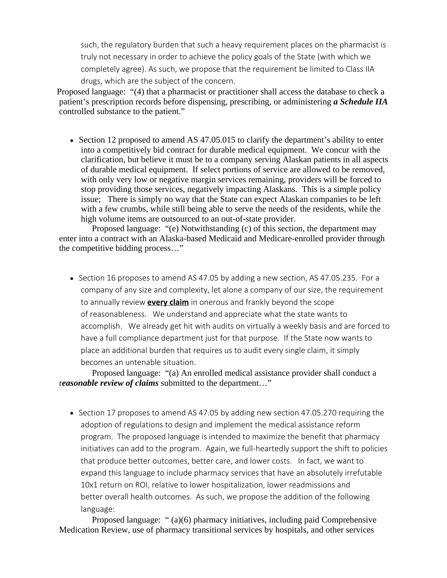such, the regulatory burden that such a heavy requirement places on the pharmacist is truly not necessary in order to achieve the policy goals of the State (with which we completely agree). As such, we propose that the requirement be limited to Class IIA drugs, which are the subject of the concern.

Proposed language: "(4) that a pharmacist or practitioner shall access the database to check a patient's prescription records before dispensing, prescribing, or administering *a Schedule IIA* controlled substance to the patient."

• Section 12 proposed to amend AS 47.05.015 to clarify the department's ability to enter into a competitively bid contract for durable medical equipment. We concur with the clarification, but believe it must be to a company serving Alaskan patients in all aspects of durable medical equipment. If select portions of service are allowed to be removed, with only very low or negative margin services remaining, providers will be forced to stop providing those services, negatively impacting Alaskans. This is a simple policy issue; There is simply no way that the State can expect Alaskan companies to be left with a few crumbs, while still being able to serve the needs of the residents, while the high volume items are outsourced to an out-of-state provider.

 Proposed language: "(e) Notwithstanding (c) of this section, the department may enter into a contract with an Alaska-based Medicaid and Medicare-enrolled provider through the competitive bidding process…"

 $\bullet$  Section 16 proposes to amend AS 47.05 by adding a new section, AS 47.05.235. For a company of any size and complexity, let alone a company of our size, the requirement to annually review **every claim** in onerous and frankly beyond the scope of reasonableness. We understand and appreciate what the state wants to accomplish. We already get hit with audits on virtually a weekly basis and are forced to have a full compliance department just for that purpose. If the State now wants to place an additional burden that requires us to audit every single claim, it simply becomes an untenable situation.

 Proposed language: "(a) An enrolled medical assistance provider shall conduct a r*easonable review of claims* submitted to the department…"

• Section 17 proposes to amend AS 47.05 by adding new section 47.05.270 requiring the adoption of regulations to design and implement the medical assistance reform program. The proposed language is intended to maximize the benefit that pharmacy initiatives can add to the program. Again, we full-heartedly support the shift to policies that produce better outcomes, better care, and lower costs. In fact, we want to expand this language to include pharmacy services that have an absolutely irrefutable 10x1 return on ROI, relative to lower hospitalization, lower readmissions and better overall health outcomes. As such, we propose the addition of the following language:

Proposed language: " (a)(6) pharmacy initiatives, including paid Comprehensive Medication Review, use of pharmacy transitional services by hospitals, and other services